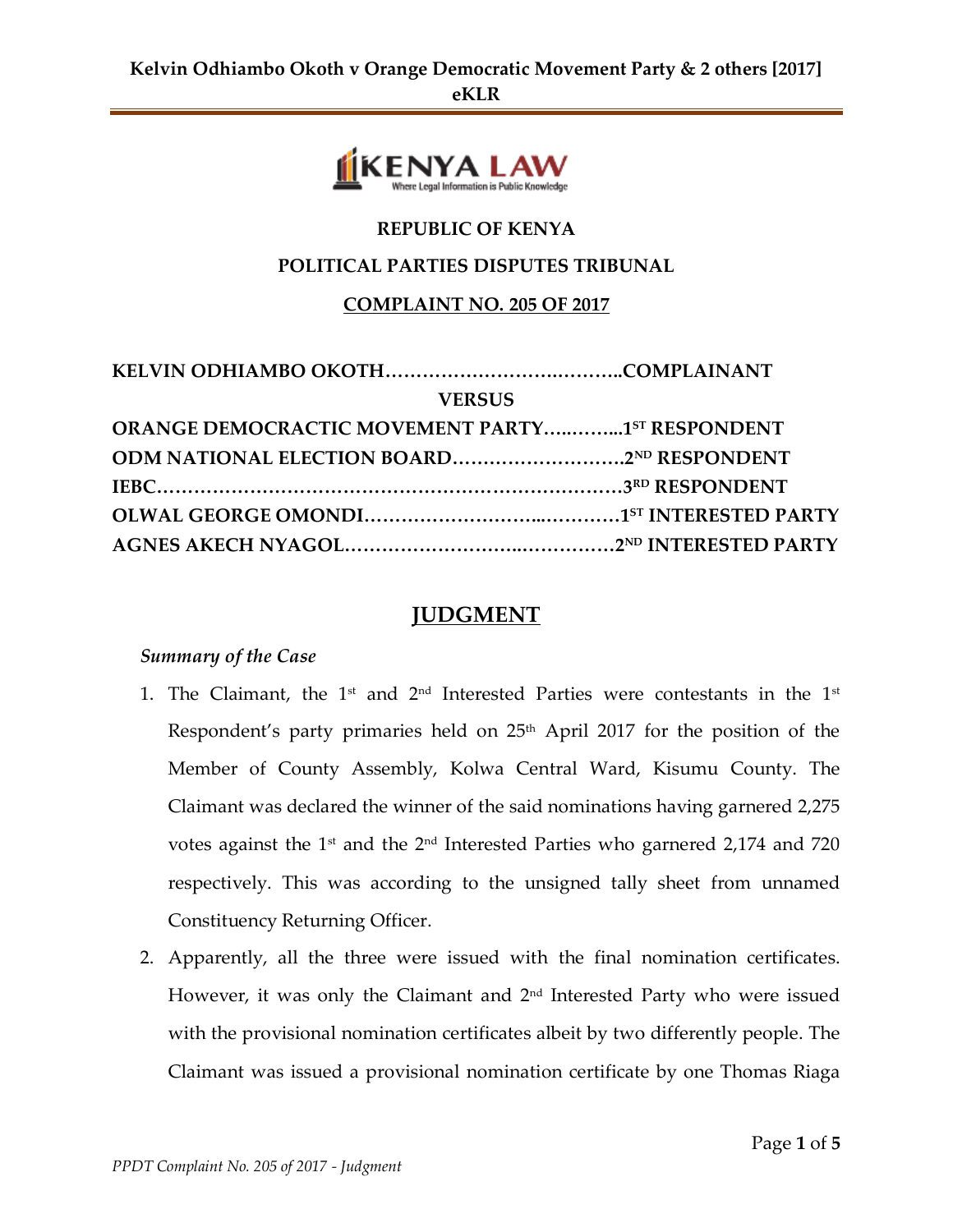

# **REPUBLIC OF KENYA**

#### **POLITICAL PARTIES DISPUTES TRIBUNAL**

#### **COMPLAINT NO. 205 OF 2017**

| <b>VERSUS</b>                                          |  |
|--------------------------------------------------------|--|
| <b>ORANGE DEMOCRACTIC MOVEMENT PARTY15T RESPONDENT</b> |  |
|                                                        |  |
|                                                        |  |
|                                                        |  |
|                                                        |  |

# **JUDGMENT**

#### *Summary of the Case*

- 1. The Claimant, the  $1<sup>st</sup>$  and  $2<sup>nd</sup>$  Interested Parties were contestants in the  $1<sup>st</sup>$ Respondent's party primaries held on 25<sup>th</sup> April 2017 for the position of the Member of County Assembly, Kolwa Central Ward, Kisumu County. The Claimant was declared the winner of the said nominations having garnered 2,275 votes against the 1st and the 2<sup>nd</sup> Interested Parties who garnered 2,174 and 720 respectively. This was according to the unsigned tally sheet from unnamed Constituency Returning Officer.
- 2. Apparently, all the three were issued with the final nomination certificates. However, it was only the Claimant and  $2^{\text{nd}}$  Interested Party who were issued with the provisional nomination certificates albeit by two differently people. The Claimant was issued a provisional nomination certificate by one Thomas Riaga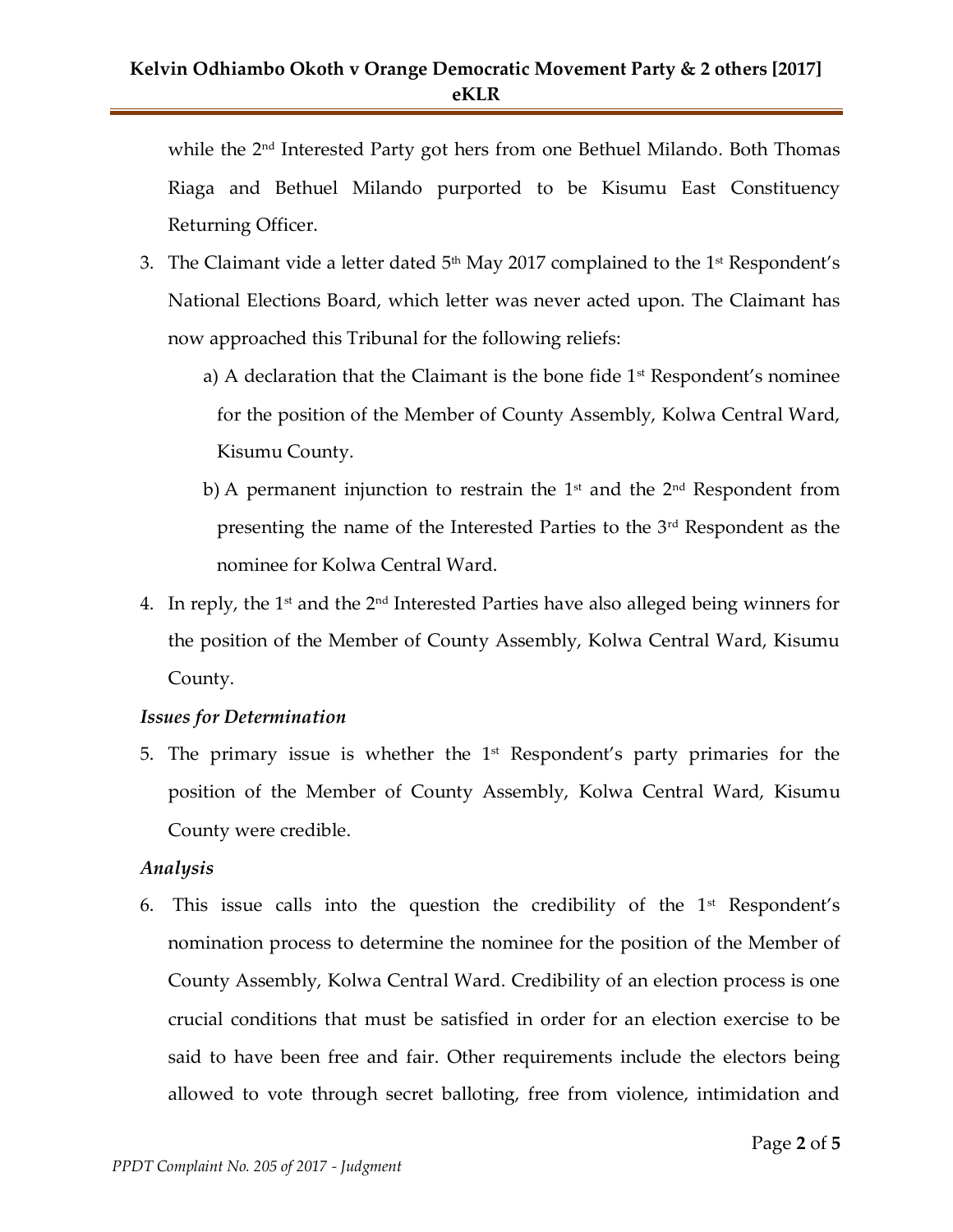while the 2<sup>nd</sup> Interested Party got hers from one Bethuel Milando. Both Thomas Riaga and Bethuel Milando purported to be Kisumu East Constituency Returning Officer.

- 3. The Claimant vide a letter dated  $5<sup>th</sup>$  May 2017 complained to the 1<sup>st</sup> Respondent's National Elections Board, which letter was never acted upon. The Claimant has now approached this Tribunal for the following reliefs:
	- a) A declaration that the Claimant is the bone fide  $1<sup>st</sup>$  Respondent's nominee for the position of the Member of County Assembly, Kolwa Central Ward, Kisumu County.
	- b) A permanent injunction to restrain the  $1<sup>st</sup>$  and the  $2<sup>nd</sup>$  Respondent from presenting the name of the Interested Parties to the 3rd Respondent as the nominee for Kolwa Central Ward.
- 4. In reply, the 1<sup>st</sup> and the 2<sup>nd</sup> Interested Parties have also alleged being winners for the position of the Member of County Assembly, Kolwa Central Ward, Kisumu County.

# *Issues for Determination*

5. The primary issue is whether the  $1<sup>st</sup>$  Respondent's party primaries for the position of the Member of County Assembly, Kolwa Central Ward, Kisumu County were credible.

# *Analysis*

6. This issue calls into the question the credibility of the  $1<sup>st</sup>$  Respondent's nomination process to determine the nominee for the position of the Member of County Assembly, Kolwa Central Ward. Credibility of an election process is one crucial conditions that must be satisfied in order for an election exercise to be said to have been free and fair. Other requirements include the electors being allowed to vote through secret balloting, free from violence, intimidation and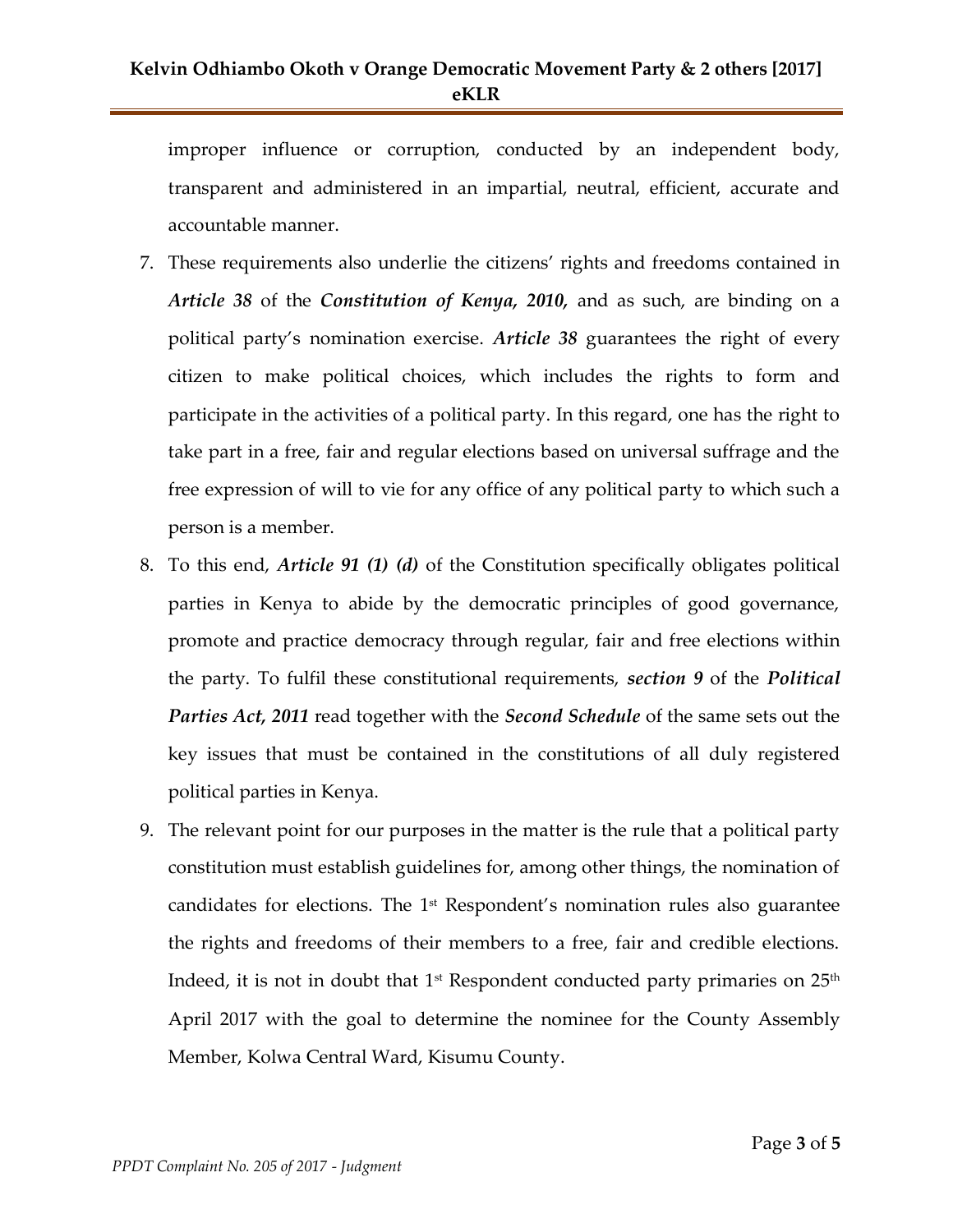improper influence or corruption, conducted by an independent body, transparent and administered in an impartial, neutral, efficient, accurate and accountable manner.

- 7. These requirements also underlie the citizens' rights and freedoms contained in *Article 38* of the *Constitution of Kenya, 2010,* and as such, are binding on a political party's nomination exercise. *Article 38* guarantees the right of every citizen to make political choices, which includes the rights to form and participate in the activities of a political party. In this regard, one has the right to take part in a free, fair and regular elections based on universal suffrage and the free expression of will to vie for any office of any political party to which such a person is a member.
- 8. To this end, *Article 91 (1) (d)* of the Constitution specifically obligates political parties in Kenya to abide by the democratic principles of good governance, promote and practice democracy through regular, fair and free elections within the party. To fulfil these constitutional requirements, *section 9* of the *Political Parties Act, 2011* read together with the *Second Schedule* of the same sets out the key issues that must be contained in the constitutions of all duly registered political parties in Kenya.
- 9. The relevant point for our purposes in the matter is the rule that a political party constitution must establish guidelines for, among other things, the nomination of candidates for elections. The  $1<sup>st</sup>$  Respondent's nomination rules also guarantee the rights and freedoms of their members to a free, fair and credible elections. Indeed, it is not in doubt that  $1^\text{st}$  Respondent conducted party primaries on  $25^\text{th}$ April 2017 with the goal to determine the nominee for the County Assembly Member, Kolwa Central Ward, Kisumu County.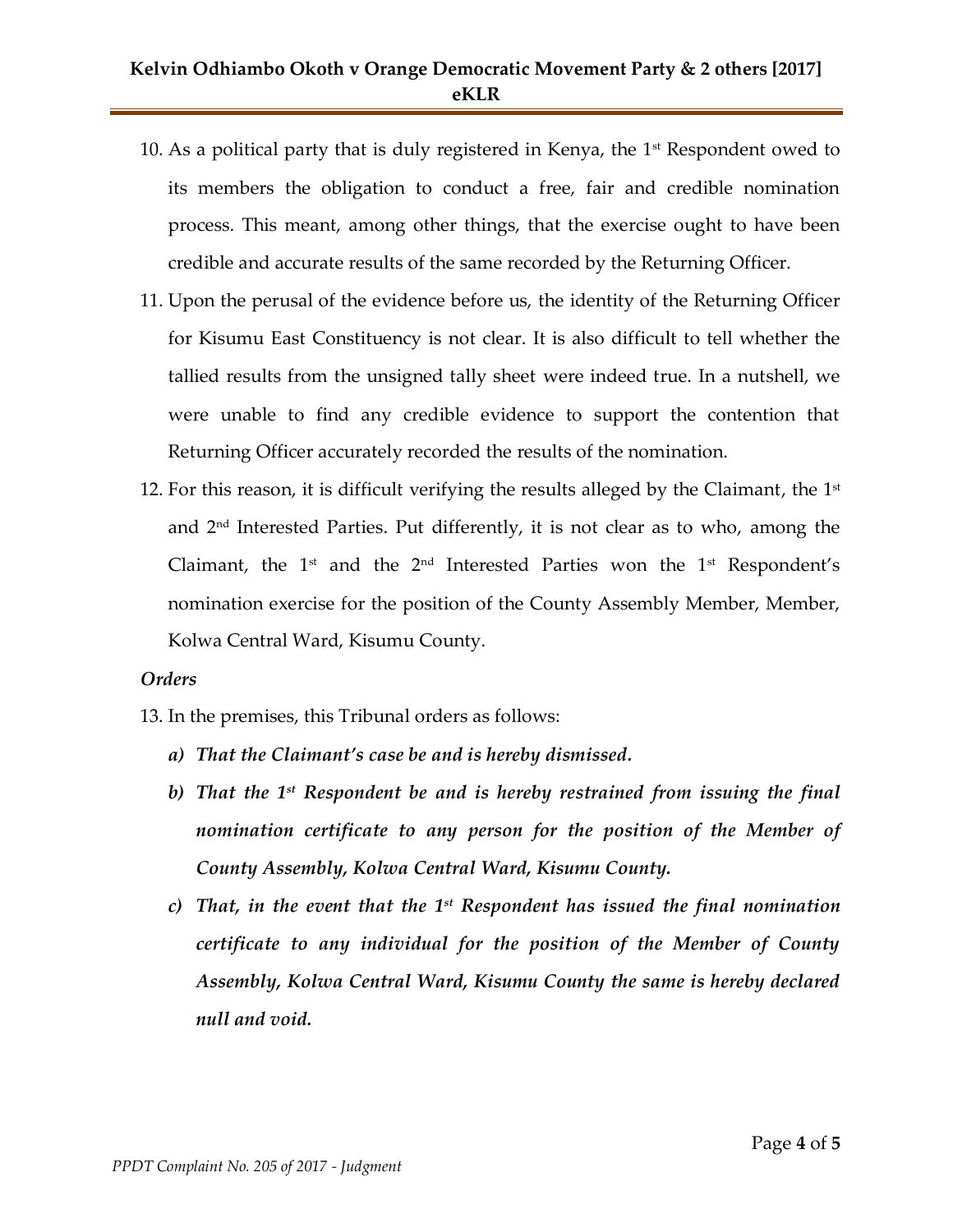# **Kelvin Odhiambo Okoth v Orange Democratic Movement Party & 2 others [2017] eKLR**

- 10. As a political party that is duly registered in Kenya, the  $1<sup>st</sup>$  Respondent owed to its members the obligation to conduct a free, fair and credible nomination process. This meant, among other things, that the exercise ought to have been credible and accurate results of the same recorded by the Returning Officer.
- 11. Upon the perusal of the evidence before us, the identity of the Returning Officer for Kisumu East Constituency is not clear. It is also difficult to tell whether the tallied results from the unsigned tally sheet were indeed true. In a nutshell, we were unable to find any credible evidence to support the contention that Returning Officer accurately recorded the results of the nomination.
- 12. For this reason, it is difficult verifying the results alleged by the Claimant, the  $1<sup>st</sup>$ and 2nd Interested Parties. Put differently, it is not clear as to who, among the Claimant, the  $1<sup>st</sup>$  and the  $2<sup>nd</sup>$  Interested Parties won the  $1<sup>st</sup>$  Respondent's nomination exercise for the position of the County Assembly Member, Member, Kolwa Central Ward, Kisumu County.

#### *Orders*

- 13. In the premises, this Tribunal orders as follows:
	- *a) That the Claimant's case be and is hereby dismissed.*
	- *b) That the 1st Respondent be and is hereby restrained from issuing the final nomination certificate to any person for the position of the Member of County Assembly, Kolwa Central Ward, Kisumu County.*
	- *c) That, in the event that the 1st Respondent has issued the final nomination certificate to any individual for the position of the Member of County Assembly, Kolwa Central Ward, Kisumu County the same is hereby declared null and void.*